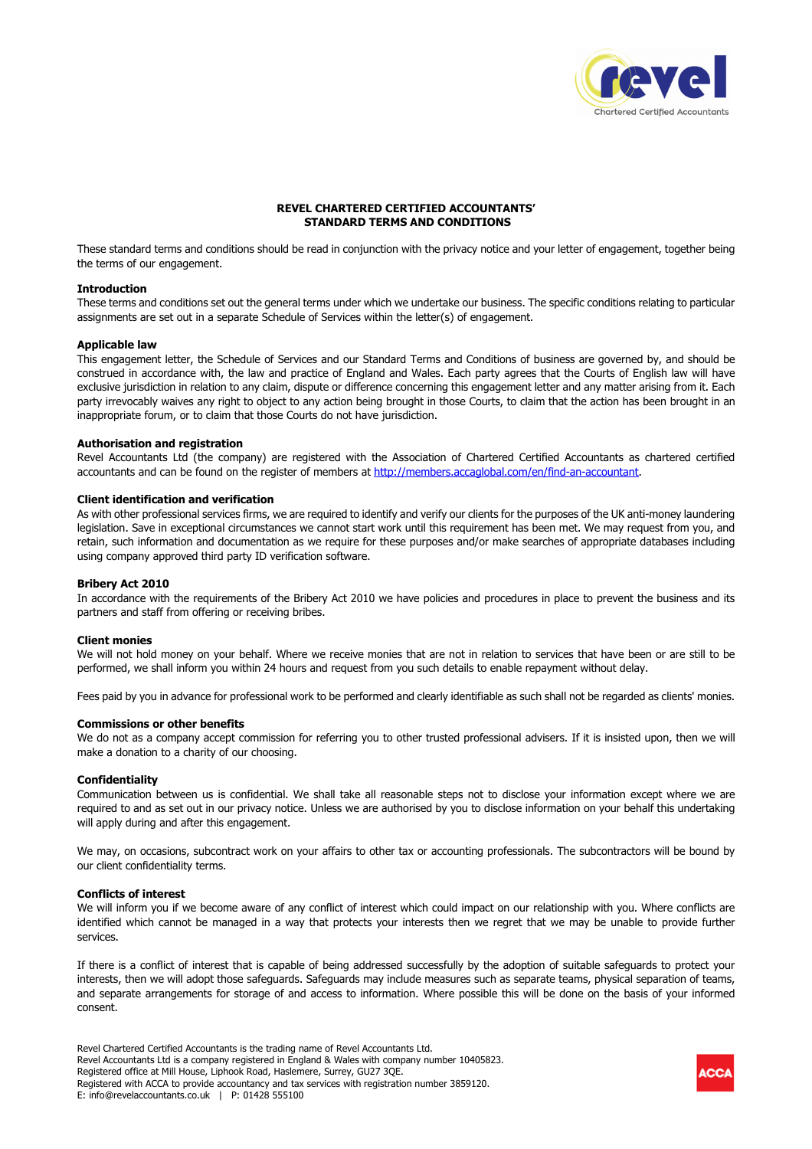

# **REVEL CHARTERED CERTIFIED ACCOUNTANTS' STANDARD TERMS AND CONDITIONS**

These standard terms and conditions should be read in conjunction with the privacy notice and your letter of engagement, together being the terms of our engagement.

#### **Introduction**

These terms and conditions set out the general terms under which we undertake our business. The specific conditions relating to particular assignments are set out in a separate Schedule of Services within the letter(s) of engagement.

### **Applicable law**

This engagement letter, the Schedule of Services and our Standard Terms and Conditions of business are governed by, and should be construed in accordance with, the law and practice of England and Wales. Each party agrees that the Courts of English law will have exclusive jurisdiction in relation to any claim, dispute or difference concerning this engagement letter and any matter arising from it. Each party irrevocably waives any right to object to any action being brought in those Courts, to claim that the action has been brought in an inappropriate forum, or to claim that those Courts do not have jurisdiction.

#### **Authorisation and registration**

Revel Accountants Ltd (the company) are registered with the Association of Chartered Certified Accountants as chartered certified accountants and can be found on the register of members at http://members.accaglobal.com/en/find-an-accountant.

# **Client identification and verification**

As with other professional services firms, we are required to identify and verify our clients for the purposes of the UK anti-money laundering legislation. Save in exceptional circumstances we cannot start work until this requirement has been met. We may request from you, and retain, such information and documentation as we require for these purposes and/or make searches of appropriate databases including using company approved third party ID verification software.

# **Bribery Act 2010**

In accordance with the requirements of the Bribery Act 2010 we have policies and procedures in place to prevent the business and its partners and staff from offering or receiving bribes.

#### **Client monies**

We will not hold money on your behalf. Where we receive monies that are not in relation to services that have been or are still to be performed, we shall inform you within 24 hours and request from you such details to enable repayment without delay.

Fees paid by you in advance for professional work to be performed and clearly identifiable as such shall not be regarded as clients' monies.

### **Commissions or other benefits**

We do not as a company accept commission for referring you to other trusted professional advisers. If it is insisted upon, then we will make a donation to a charity of our choosing.

#### **Confidentiality**

Communication between us is confidential. We shall take all reasonable steps not to disclose your information except where we are required to and as set out in our privacy notice. Unless we are authorised by you to disclose information on your behalf this undertaking will apply during and after this engagement.

We may, on occasions, subcontract work on your affairs to other tax or accounting professionals. The subcontractors will be bound by our client confidentiality terms.

### **Conflicts of interest**

We will inform you if we become aware of any conflict of interest which could impact on our relationship with you. Where conflicts are identified which cannot be managed in a way that protects your interests then we regret that we may be unable to provide further services.

If there is a conflict of interest that is capable of being addressed successfully by the adoption of suitable safeguards to protect your interests, then we will adopt those safeguards. Safeguards may include measures such as separate teams, physical separation of teams, and separate arrangements for storage of and access to information. Where possible this will be done on the basis of your informed consent.

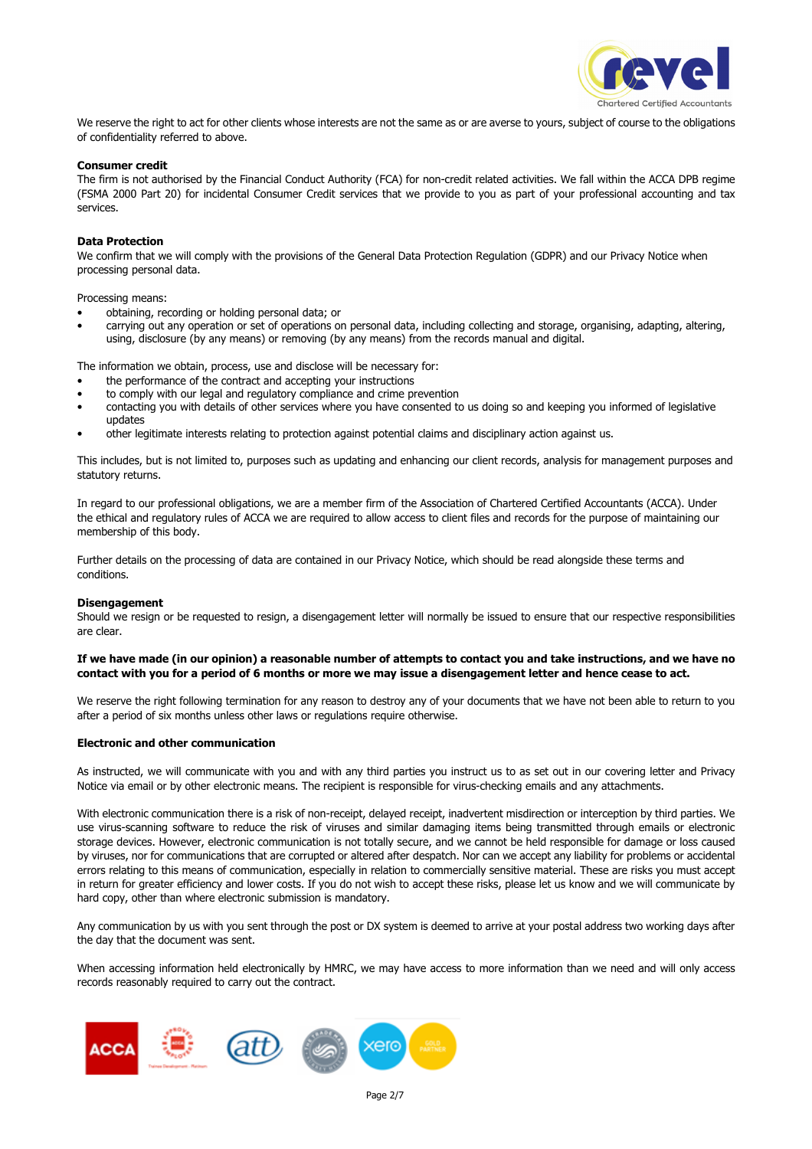

We reserve the right to act for other clients whose interests are not the same as or are averse to yours, subject of course to the obligations of confidentiality referred to above.

# **Consumer credit**

The firm is not authorised by the Financial Conduct Authority (FCA) for non-credit related activities. We fall within the ACCA DPB regime (FSMA 2000 Part 20) for incidental Consumer Credit services that we provide to you as part of your professional accounting and tax services.

## **Data Protection**

We confirm that we will comply with the provisions of the General Data Protection Regulation (GDPR) and our Privacy Notice when processing personal data.

Processing means:

- obtaining, recording or holding personal data; or
- carrying out any operation or set of operations on personal data, including collecting and storage, organising, adapting, altering, using, disclosure (by any means) or removing (by any means) from the records manual and digital.

The information we obtain, process, use and disclose will be necessary for:

- the performance of the contract and accepting your instructions
- to comply with our legal and regulatory compliance and crime prevention
- contacting you with details of other services where you have consented to us doing so and keeping you informed of legislative updates
- other legitimate interests relating to protection against potential claims and disciplinary action against us.

This includes, but is not limited to, purposes such as updating and enhancing our client records, analysis for management purposes and statutory returns.

In regard to our professional obligations, we are a member firm of the Association of Chartered Certified Accountants (ACCA). Under the ethical and regulatory rules of ACCA we are required to allow access to client files and records for the purpose of maintaining our membership of this body.

Further details on the processing of data are contained in our Privacy Notice, which should be read alongside these terms and conditions.

### **Disengagement**

Should we resign or be requested to resign, a disengagement letter will normally be issued to ensure that our respective responsibilities are clear.

### **If we have made (in our opinion) a reasonable number of attempts to contact you and take instructions, and we have no contact with you for a period of 6 months or more we may issue a disengagement letter and hence cease to act.**

We reserve the right following termination for any reason to destroy any of your documents that we have not been able to return to you after a period of six months unless other laws or regulations require otherwise.

## **Electronic and other communication**

As instructed, we will communicate with you and with any third parties you instruct us to as set out in our covering letter and Privacy Notice via email or by other electronic means. The recipient is responsible for virus-checking emails and any attachments.

With electronic communication there is a risk of non-receipt, delayed receipt, inadvertent misdirection or interception by third parties. We use virus-scanning software to reduce the risk of viruses and similar damaging items being transmitted through emails or electronic storage devices. However, electronic communication is not totally secure, and we cannot be held responsible for damage or loss caused by viruses, nor for communications that are corrupted or altered after despatch. Nor can we accept any liability for problems or accidental errors relating to this means of communication, especially in relation to commercially sensitive material. These are risks you must accept in return for greater efficiency and lower costs. If you do not wish to accept these risks, please let us know and we will communicate by hard copy, other than where electronic submission is mandatory.

Any communication by us with you sent through the post or DX system is deemed to arrive at your postal address two working days after the day that the document was sent.

When accessing information held electronically by HMRC, we may have access to more information than we need and will only access records reasonably required to carry out the contract.

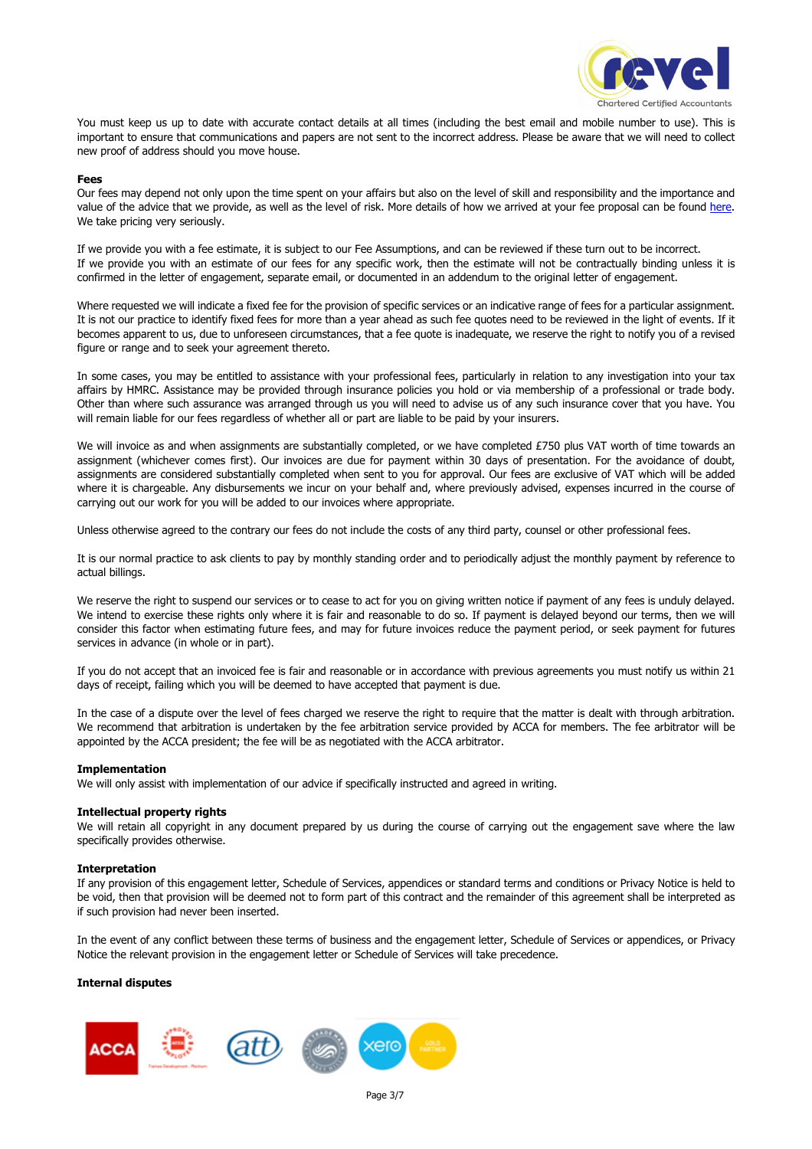

You must keep us up to date with accurate contact details at all times (including the best email and mobile number to use). This is important to ensure that communications and papers are not sent to the incorrect address. Please be aware that we will need to collect new proof of address should you move house.

### **Fees**

Our fees may depend not only upon the time spent on your affairs but also on the level of skill and responsibility and the importance and value of the advice that we provide, as well as the level of risk. More details of how we arrived at your fee proposal can be found here. We take pricing very seriously.

If we provide you with a fee estimate, it is subject to our Fee Assumptions, and can be reviewed if these turn out to be incorrect. If we provide you with an estimate of our fees for any specific work, then the estimate will not be contractually binding unless it is confirmed in the letter of engagement, separate email, or documented in an addendum to the original letter of engagement.

Where requested we will indicate a fixed fee for the provision of specific services or an indicative range of fees for a particular assignment. It is not our practice to identify fixed fees for more than a year ahead as such fee quotes need to be reviewed in the light of events. If it becomes apparent to us, due to unforeseen circumstances, that a fee quote is inadequate, we reserve the right to notify you of a revised figure or range and to seek your agreement thereto.

In some cases, you may be entitled to assistance with your professional fees, particularly in relation to any investigation into your tax affairs by HMRC. Assistance may be provided through insurance policies you hold or via membership of a professional or trade body. Other than where such assurance was arranged through us you will need to advise us of any such insurance cover that you have. You will remain liable for our fees regardless of whether all or part are liable to be paid by your insurers.

We will invoice as and when assignments are substantially completed, or we have completed £750 plus VAT worth of time towards an assignment (whichever comes first). Our invoices are due for payment within 30 days of presentation. For the avoidance of doubt, assignments are considered substantially completed when sent to you for approval. Our fees are exclusive of VAT which will be added where it is chargeable. Any disbursements we incur on your behalf and, where previously advised, expenses incurred in the course of carrying out our work for you will be added to our invoices where appropriate.

Unless otherwise agreed to the contrary our fees do not include the costs of any third party, counsel or other professional fees.

It is our normal practice to ask clients to pay by monthly standing order and to periodically adjust the monthly payment by reference to actual billings.

We reserve the right to suspend our services or to cease to act for you on giving written notice if payment of any fees is unduly delayed. We intend to exercise these rights only where it is fair and reasonable to do so. If payment is delayed beyond our terms, then we will consider this factor when estimating future fees, and may for future invoices reduce the payment period, or seek payment for futures services in advance (in whole or in part).

If you do not accept that an invoiced fee is fair and reasonable or in accordance with previous agreements you must notify us within 21 days of receipt, failing which you will be deemed to have accepted that payment is due.

In the case of a dispute over the level of fees charged we reserve the right to require that the matter is dealt with through arbitration. We recommend that arbitration is undertaken by the fee arbitration service provided by ACCA for members. The fee arbitrator will be appointed by the ACCA president; the fee will be as negotiated with the ACCA arbitrator.

# **Implementation**

We will only assist with implementation of our advice if specifically instructed and agreed in writing.

## **Intellectual property rights**

We will retain all copyright in any document prepared by us during the course of carrying out the engagement save where the law specifically provides otherwise.

### **Interpretation**

If any provision of this engagement letter, Schedule of Services, appendices or standard terms and conditions or Privacy Notice is held to be void, then that provision will be deemed not to form part of this contract and the remainder of this agreement shall be interpreted as if such provision had never been inserted.

In the event of any conflict between these terms of business and the engagement letter, Schedule of Services or appendices, or Privacy Notice the relevant provision in the engagement letter or Schedule of Services will take precedence.

### **Internal disputes**

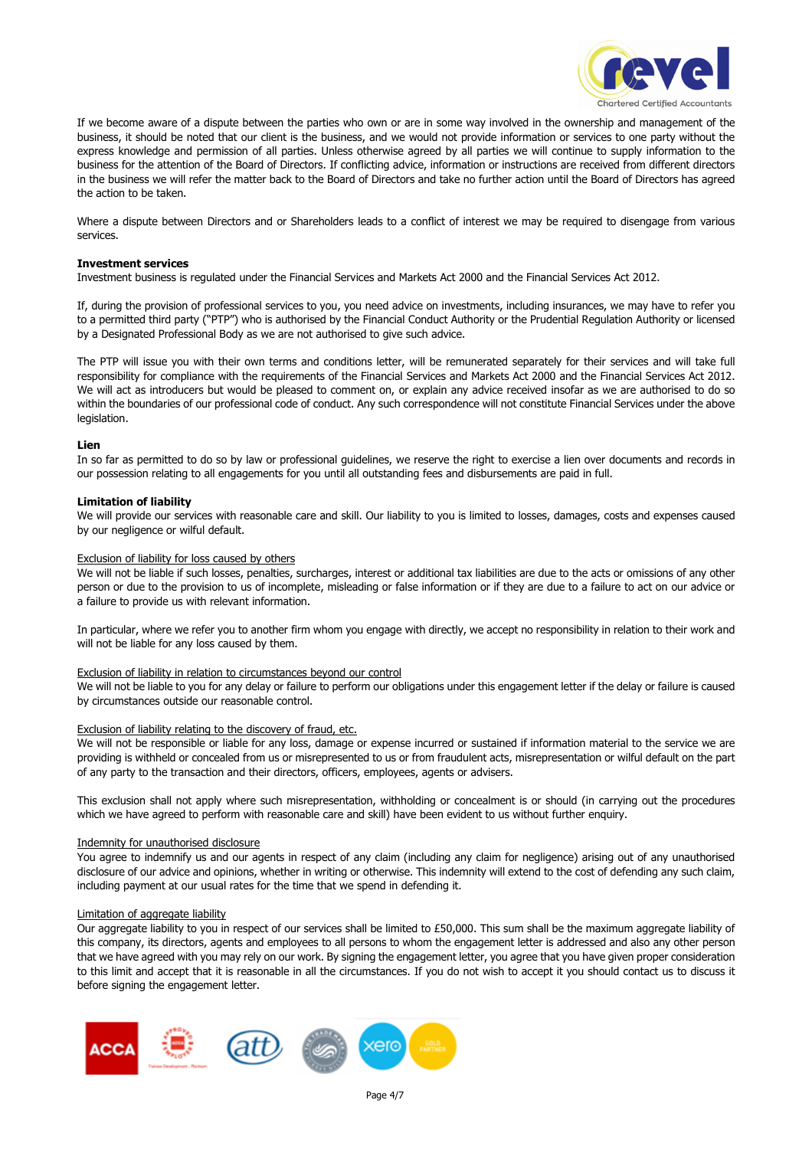

If we become aware of a dispute between the parties who own or are in some way involved in the ownership and management of the business, it should be noted that our client is the business, and we would not provide information or services to one party without the express knowledge and permission of all parties. Unless otherwise agreed by all parties we will continue to supply information to the business for the attention of the Board of Directors. If conflicting advice, information or instructions are received from different directors in the business we will refer the matter back to the Board of Directors and take no further action until the Board of Directors has agreed the action to be taken.

Where a dispute between Directors and or Shareholders leads to a conflict of interest we may be required to disengage from various services.

### **Investment services**

Investment business is regulated under the Financial Services and Markets Act 2000 and the Financial Services Act 2012.

If, during the provision of professional services to you, you need advice on investments, including insurances, we may have to refer you to a permitted third party ("PTP") who is authorised by the Financial Conduct Authority or the Prudential Regulation Authority or licensed by a Designated Professional Body as we are not authorised to give such advice.

The PTP will issue you with their own terms and conditions letter, will be remunerated separately for their services and will take full responsibility for compliance with the requirements of the Financial Services and Markets Act 2000 and the Financial Services Act 2012. We will act as introducers but would be pleased to comment on, or explain any advice received insofar as we are authorised to do so within the boundaries of our professional code of conduct. Any such correspondence will not constitute Financial Services under the above legislation.

## **Lien**

In so far as permitted to do so by law or professional guidelines, we reserve the right to exercise a lien over documents and records in our possession relating to all engagements for you until all outstanding fees and disbursements are paid in full.

## **Limitation of liability**

We will provide our services with reasonable care and skill. Our liability to you is limited to losses, damages, costs and expenses caused by our negligence or wilful default.

### Exclusion of liability for loss caused by others

We will not be liable if such losses, penalties, surcharges, interest or additional tax liabilities are due to the acts or omissions of any other person or due to the provision to us of incomplete, misleading or false information or if they are due to a failure to act on our advice or a failure to provide us with relevant information.

In particular, where we refer you to another firm whom you engage with directly, we accept no responsibility in relation to their work and will not be liable for any loss caused by them.

### Exclusion of liability in relation to circumstances beyond our control

We will not be liable to you for any delay or failure to perform our obligations under this engagement letter if the delay or failure is caused by circumstances outside our reasonable control.

### Exclusion of liability relating to the discovery of fraud, etc.

We will not be responsible or liable for any loss, damage or expense incurred or sustained if information material to the service we are providing is withheld or concealed from us or misrepresented to us or from fraudulent acts, misrepresentation or wilful default on the part of any party to the transaction and their directors, officers, employees, agents or advisers.

This exclusion shall not apply where such misrepresentation, withholding or concealment is or should (in carrying out the procedures which we have agreed to perform with reasonable care and skill) have been evident to us without further enquiry.

## Indemnity for unauthorised disclosure

You agree to indemnify us and our agents in respect of any claim (including any claim for negligence) arising out of any unauthorised disclosure of our advice and opinions, whether in writing or otherwise. This indemnity will extend to the cost of defending any such claim, including payment at our usual rates for the time that we spend in defending it.

### Limitation of aggregate liability

Our aggregate liability to you in respect of our services shall be limited to £50,000. This sum shall be the maximum aggregate liability of this company, its directors, agents and employees to all persons to whom the engagement letter is addressed and also any other person that we have agreed with you may rely on our work. By signing the engagement letter, you agree that you have given proper consideration to this limit and accept that it is reasonable in all the circumstances. If you do not wish to accept it you should contact us to discuss it before signing the engagement letter.

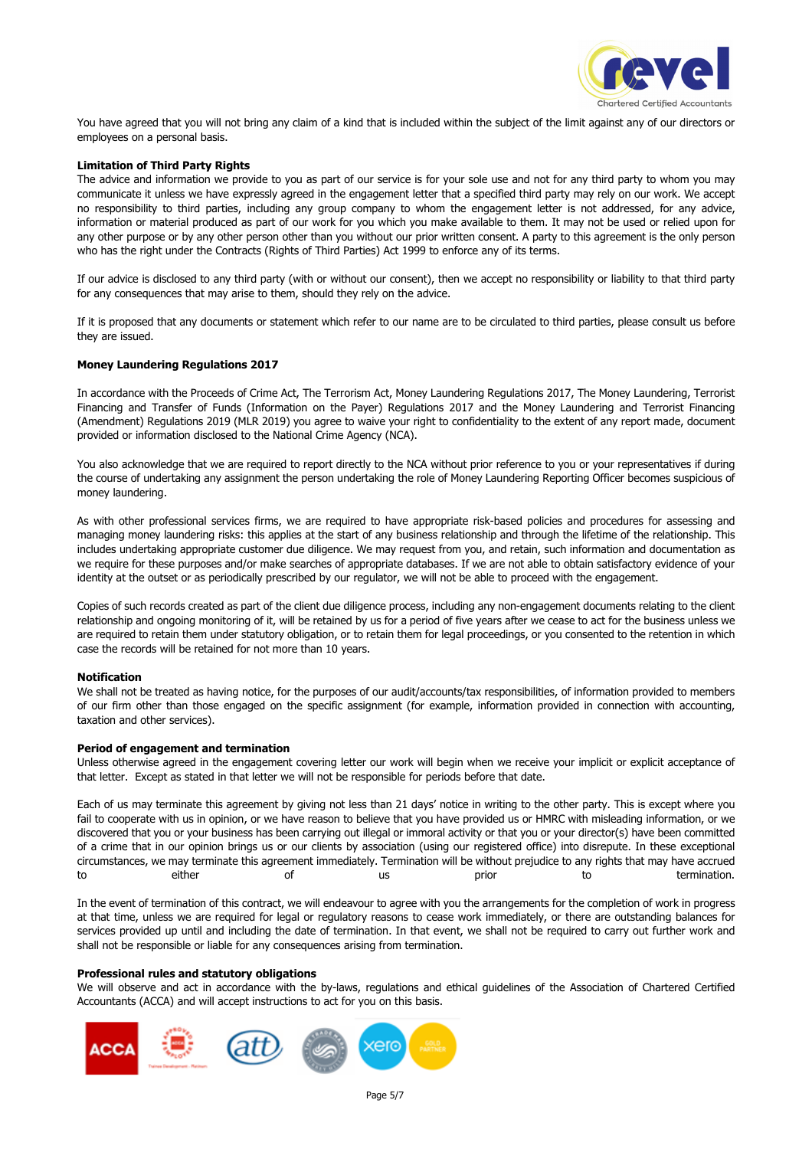

You have agreed that you will not bring any claim of a kind that is included within the subject of the limit against any of our directors or employees on a personal basis.

### **Limitation of Third Party Rights**

The advice and information we provide to you as part of our service is for your sole use and not for any third party to whom you may communicate it unless we have expressly agreed in the engagement letter that a specified third party may rely on our work. We accept no responsibility to third parties, including any group company to whom the engagement letter is not addressed, for any advice, information or material produced as part of our work for you which you make available to them. It may not be used or relied upon for any other purpose or by any other person other than you without our prior written consent. A party to this agreement is the only person who has the right under the Contracts (Rights of Third Parties) Act 1999 to enforce any of its terms.

If our advice is disclosed to any third party (with or without our consent), then we accept no responsibility or liability to that third party for any consequences that may arise to them, should they rely on the advice.

If it is proposed that any documents or statement which refer to our name are to be circulated to third parties, please consult us before they are issued.

### **Money Laundering Regulations 2017**

In accordance with the Proceeds of Crime Act, The Terrorism Act, Money Laundering Regulations 2017, The Money Laundering, Terrorist Financing and Transfer of Funds (Information on the Payer) Regulations 2017 and the Money Laundering and Terrorist Financing (Amendment) Regulations 2019 (MLR 2019) you agree to waive your right to confidentiality to the extent of any report made, document provided or information disclosed to the National Crime Agency (NCA).

You also acknowledge that we are required to report directly to the NCA without prior reference to you or your representatives if during the course of undertaking any assignment the person undertaking the role of Money Laundering Reporting Officer becomes suspicious of money laundering.

As with other professional services firms, we are required to have appropriate risk-based policies and procedures for assessing and managing money laundering risks: this applies at the start of any business relationship and through the lifetime of the relationship. This includes undertaking appropriate customer due diligence. We may request from you, and retain, such information and documentation as we require for these purposes and/or make searches of appropriate databases. If we are not able to obtain satisfactory evidence of your identity at the outset or as periodically prescribed by our regulator, we will not be able to proceed with the engagement.

Copies of such records created as part of the client due diligence process, including any non-engagement documents relating to the client relationship and ongoing monitoring of it, will be retained by us for a period of five years after we cease to act for the business unless we are required to retain them under statutory obligation, or to retain them for legal proceedings, or you consented to the retention in which case the records will be retained for not more than 10 years.

### **Notification**

We shall not be treated as having notice, for the purposes of our audit/accounts/tax responsibilities, of information provided to members of our firm other than those engaged on the specific assignment (for example, information provided in connection with accounting, taxation and other services).

### **Period of engagement and termination**

Unless otherwise agreed in the engagement covering letter our work will begin when we receive your implicit or explicit acceptance of that letter. Except as stated in that letter we will not be responsible for periods before that date.

Each of us may terminate this agreement by giving not less than 21 days' notice in writing to the other party. This is except where you fail to cooperate with us in opinion, or we have reason to believe that you have provided us or HMRC with misleading information, or we discovered that you or your business has been carrying out illegal or immoral activity or that you or your director(s) have been committed of a crime that in our opinion brings us or our clients by association (using our registered office) into disrepute. In these exceptional circumstances, we may terminate this agreement immediately. Termination will be without prejudice to any rights that may have accrued to either of us prior to termination.

In the event of termination of this contract, we will endeavour to agree with you the arrangements for the completion of work in progress at that time, unless we are required for legal or regulatory reasons to cease work immediately, or there are outstanding balances for services provided up until and including the date of termination. In that event, we shall not be required to carry out further work and shall not be responsible or liable for any consequences arising from termination.

### **Professional rules and statutory obligations**

We will observe and act in accordance with the by-laws, regulations and ethical guidelines of the Association of Chartered Certified Accountants (ACCA) and will accept instructions to act for you on this basis.

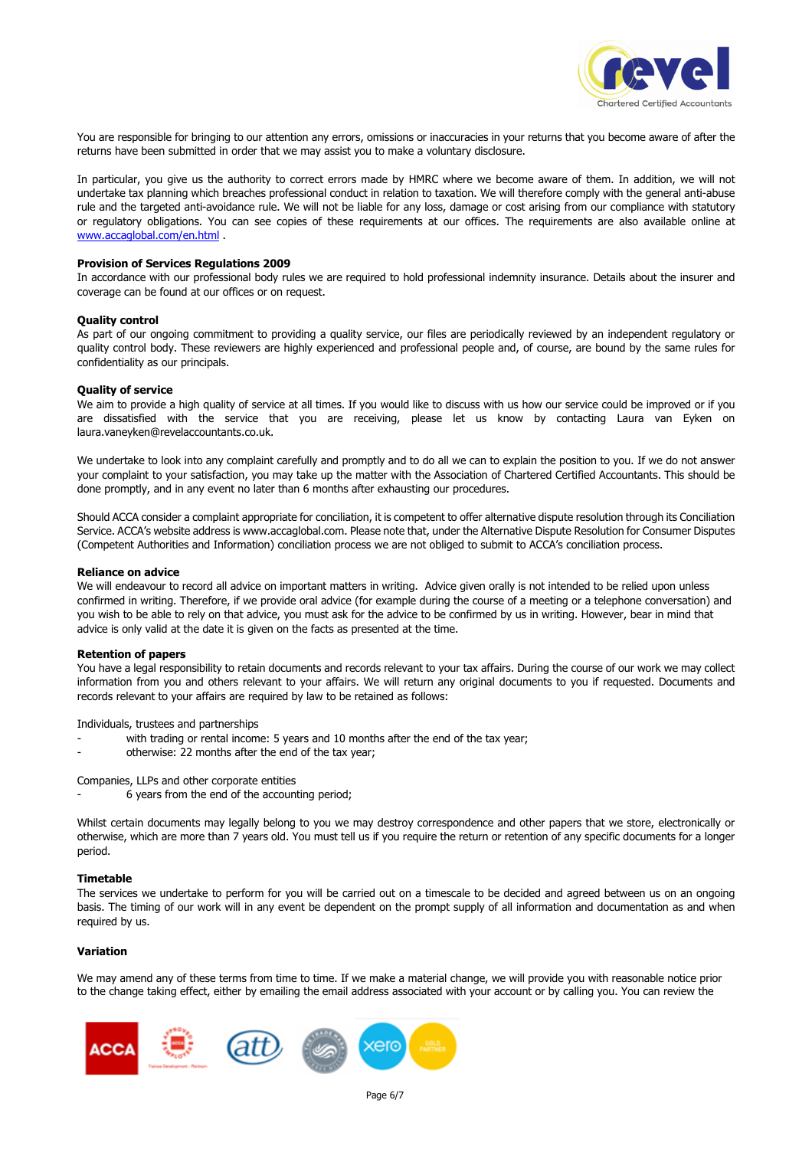

You are responsible for bringing to our attention any errors, omissions or inaccuracies in your returns that you become aware of after the returns have been submitted in order that we may assist you to make a voluntary disclosure.

In particular, you give us the authority to correct errors made by HMRC where we become aware of them. In addition, we will not undertake tax planning which breaches professional conduct in relation to taxation. We will therefore comply with the general anti-abuse rule and the targeted anti-avoidance rule. We will not be liable for any loss, damage or cost arising from our compliance with statutory or regulatory obligations. You can see copies of these requirements at our offices. The requirements are also available online at www.accaglobal.com/en.html .

#### **Provision of Services Regulations 2009**

In accordance with our professional body rules we are required to hold professional indemnity insurance. Details about the insurer and coverage can be found at our offices or on request.

#### **Quality control**

As part of our ongoing commitment to providing a quality service, our files are periodically reviewed by an independent regulatory or quality control body. These reviewers are highly experienced and professional people and, of course, are bound by the same rules for confidentiality as our principals.

#### **Quality of service**

We aim to provide a high quality of service at all times. If you would like to discuss with us how our service could be improved or if you are dissatisfied with the service that you are receiving, please let us know by contacting Laura van Eyken on laura.vaneyken@revelaccountants.co.uk.

We undertake to look into any complaint carefully and promptly and to do all we can to explain the position to you. If we do not answer your complaint to your satisfaction, you may take up the matter with the Association of Chartered Certified Accountants. This should be done promptly, and in any event no later than 6 months after exhausting our procedures.

Should ACCA consider a complaint appropriate for conciliation, it is competent to offer alternative dispute resolution through its Conciliation Service. ACCA's website address is www.accaglobal.com. Please note that, under the Alternative Dispute Resolution for Consumer Disputes (Competent Authorities and Information) conciliation process we are not obliged to submit to ACCA's conciliation process.

### **Reliance on advice**

We will endeavour to record all advice on important matters in writing. Advice given orally is not intended to be relied upon unless confirmed in writing. Therefore, if we provide oral advice (for example during the course of a meeting or a telephone conversation) and you wish to be able to rely on that advice, you must ask for the advice to be confirmed by us in writing. However, bear in mind that advice is only valid at the date it is given on the facts as presented at the time.

#### **Retention of papers**

You have a legal responsibility to retain documents and records relevant to your tax affairs. During the course of our work we may collect information from you and others relevant to your affairs. We will return any original documents to you if requested. Documents and records relevant to your affairs are required by law to be retained as follows:

Individuals, trustees and partnerships

- with trading or rental income: 5 years and 10 months after the end of the tax year;
- otherwise: 22 months after the end of the tax year;

Companies, LLPs and other corporate entities

6 years from the end of the accounting period;

Whilst certain documents may legally belong to you we may destroy correspondence and other papers that we store, electronically or otherwise, which are more than 7 years old. You must tell us if you require the return or retention of any specific documents for a longer period.

#### **Timetable**

The services we undertake to perform for you will be carried out on a timescale to be decided and agreed between us on an ongoing basis. The timing of our work will in any event be dependent on the prompt supply of all information and documentation as and when required by us.

### **Variation**

We may amend any of these terms from time to time. If we make a material change, we will provide you with reasonable notice prior to the change taking effect, either by emailing the email address associated with your account or by calling you. You can review the